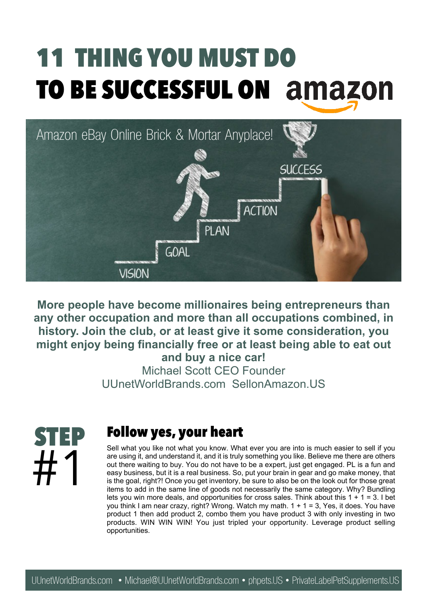### **11 THING YOU MUST DO TO BE SUCCESSFUL ON**



**More people have become millionaires being entrepreneurs than any other occupation and more than all occupations combined, in history. Join the club, or at least give it some consideration, you might enjoy being financially free or at least being able to eat out and buy a nice car!**

Michael Scott CEO Founder UUnetWorldBrands.com SellonAmazon.US



#### **Follow yes, your heart**

Sell what you like not what you know. What ever you are into is much easier to sell if you are using it, and understand it, and it is truly something you like. Believe me there are others out there waiting to buy. You do not have to be a expert, just get engaged. PL is a fun and easy business, but it is a real business. So, put your brain in gear and go make money, that is the goal, right?! Once you get inventory, be sure to also be on the look out for those great items to add in the same line of goods not necessarily the same category. Why? Bundling lets you win more deals, and opportunities for cross sales. Think about this  $1 + 1 = 3$ . I bet you think I am near crazy, right? Wrong. Watch my math. 1 + 1 = 3, Yes, it does. You have product 1 then add product 2, combo them you have product 3 with only investing in two products. WIN WIN WIN! You just tripled your opportunity. Leverage product selling opportunities.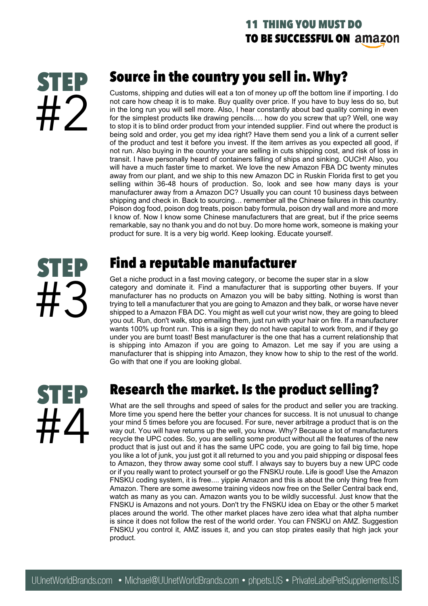#### **11 THING YOU MUST DO TO BE SUCCESSFUL ON**

## **STEP** #2

#### **Source in the country you sell in. Why?**

Customs, shipping and duties will eat a ton of money up off the bottom line if importing. I do not care how cheap it is to make. Buy quality over price. If you have to buy less do so, but in the long run you will sell more. Also, I hear constantly about bad quality coming in even for the simplest products like drawing pencils.… how do you screw that up? Well, one way to stop it is to blind order product from your intended supplier. Find out where the product is being sold and order, you get my idea right? Have them send you a link of a current seller of the product and test it before you invest. If the item arrives as you expected all good, if not run. Also buying in the country your are selling in cuts shipping cost, and risk of loss in transit. I have personally heard of containers falling of ships and sinking. OUCH! Also, you will have a much faster time to market. We love the new Amazon FBA DC twenty minutes away from our plant, and we ship to this new Amazon DC in Ruskin Florida first to get you selling within 36-48 hours of production. So, look and see how many days is your manufacturer away from a Amazon DC? Usually you can count 10 business days between shipping and check in. Back to sourcing… remember all the Chinese failures in this country. Poison dog food, poison dog treats, poison baby formula, poison dry wall and more and more I know of. Now I know some Chinese manufacturers that are great, but if the price seems remarkable, say no thank you and do not buy. Do more home work, someone is making your product for sure. It is a very big world. Keep looking. Educate yourself.

# **STEP** #3

#### **Find a reputable manufacturer**

Get a niche product in a fast moving category, or become the super star in a slow category and dominate it. Find a manufacturer that is supporting other buyers. If your manufacturer has no products on Amazon you will be baby sitting. Nothing is worst than trying to tell a manufacturer that you are going to Amazon and they balk, or worse have never shipped to a Amazon FBA DC. You might as well cut your wrist now, they are going to bleed you out. Run, don't walk, stop emailing them, just run with your hair on fire. If a manufacturer wants 100% up front run. This is a sign they do not have capital to work from, and if they go under you are burnt toast! Best manufacturer is the one that has a current relationship that is shipping into Amazon if you are going to Amazon. Let me say if you are using a manufacturer that is shipping into Amazon, they know how to ship to the rest of the world. Go with that one if you are looking global.



#### **Research the market. Is the product selling?**

What are the sell throughs and speed of sales for the product and seller you are tracking. More time you spend here the better your chances for success. It is not unusual to change your mind 5 times before you are focused. For sure, never arbitrage a product that is on the way out. You will have returns up the well, you know. Why? Because a lot of manufacturers recycle the UPC codes. So, you are selling some product without all the features of the new product that is just out and it has the same UPC code, you are going to fail big time, hope you like a lot of junk, you just got it all returned to you and you paid shipping or disposal fees to Amazon, they throw away some cool stuff. I always say to buyers buy a new UPC code or if you really want to protect yourself or go the FNSKU route. Life is good! Use the Amazon FNSKU coding system, it is free.... yippie Amazon and this is about the only thing free from Amazon. There are some awesome training videos now free on the Seller Central back end, watch as many as you can. Amazon wants you to be wildly successful. Just know that the FNSKU is Amazons and not yours. Don't try the FNSKU idea on Ebay or the other 5 market places around the world. The other market places have zero idea what that alpha number is since it does not follow the rest of the world order. You can FNSKU on AMZ. Suggestion FNSKU you control it, AMZ issues it, and you can stop pirates easily that high jack your product.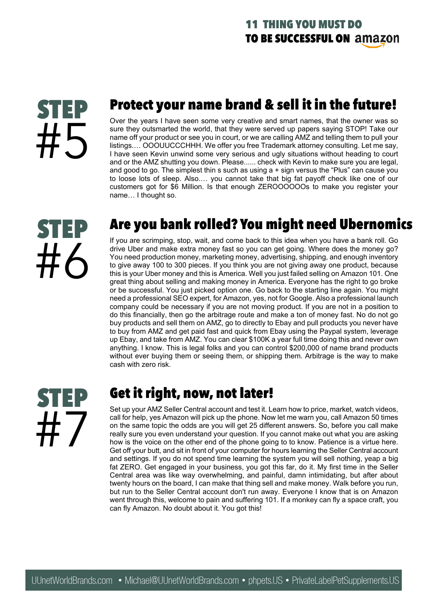# **STEP** #5

#### **Protect your name brand & sell it in the future!**

Over the years I have seen some very creative and smart names, that the owner was so sure they outsmarted the world, that they were served up papers saying STOP! Take our name off your product or see you in court, or we are calling AMZ and telling them to pull your listings.… OOOUUCCCHHH. We offer you free Trademark attorney consulting. Let me say, I have seen Kevin unwind some very serious and ugly situations without heading to court and or the AMZ shutting you down. Please...... check with Kevin to make sure you are legal, and good to go. The simplest thin  $s$  such as using  $a +$  sign versus the "Plus" can cause you to loose lots of sleep. Also.… you cannot take that big fat payoff check like one of our customers got for \$6 Million. Is that enough ZEROOOOOOs to make you register your name… I thought so.



#### **Are you bank rolled? You might need Ubernomics**

If you are scrimping, stop, wait, and come back to this idea when you have a bank roll. Go drive Uber and make extra money fast so you can get going. Where does the money go? You need production money, marketing money, advertising, shipping, and enough inventory to give away 100 to 300 pieces. If you think you are not giving away one product, because this is your Uber money and this is America. Well you just failed selling on Amazon 101. One great thing about selling and making money in America. Everyone has the right to go broke or be successful. You just picked option one. Go back to the starting line again. You might need a professional SEO expert, for Amazon, yes, not for Google. Also a professional launch company could be necessary if you are not moving product. If you are not in a position to do this financially, then go the arbitrage route and make a ton of money fast. No do not go buy products and sell them on AMZ, go to directly to Ebay and pull products you never have to buy from AMZ and get paid fast and quick from Ebay using the Paypal system, leverage up Ebay, and take from AMZ. You can clear \$100K a year full time doing this and never own anything. I know. This is legal folks and you can control \$200,000 of name brand products without ever buying them or seeing them, or shipping them. Arbitrage is the way to make cash with zero risk.



#### **Get it right, now, not later!**

Set up your AMZ Seller Central account and test it. Learn how to price, market, watch videos, call for help, yes Amazon will pick up the phone. Now let me warn you, call Amazon 50 times on the same topic the odds are you will get 25 different answers. So, before you call make really sure you even understand your question. If you cannot make out what you are asking how is the voice on the other end of the phone going to to know. Patience is a virtue here. Get off your butt, and sit in front of your computer for hours learning the Seller Central account and settings. If you do not spend time learning the system you will sell nothing, yeap a big fat ZERO. Get engaged in your business, you got this far, do it. My first time in the Seller Central area was like way overwhelming, and painful, damn intimidating, but after about twenty hours on the board, I can make that thing sell and make money. Walk before you run, but run to the Seller Central account don't run away. Everyone I know that is on Amazon went through this, welcome to pain and suffering 101. If a monkey can fly a space craft, you can fly Amazon. No doubt about it. You got this!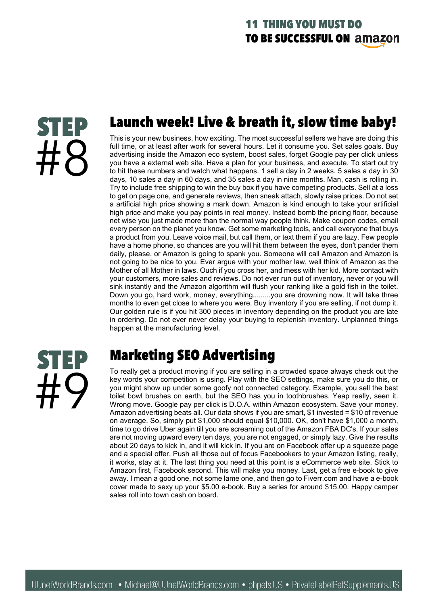

#### **Launch week! Live & breath it, slow time baby!**

This is your new business, how exciting. The most successful sellers we have are doing this full time, or at least after work for several hours. Let it consume you. Set sales goals. Buy advertising inside the Amazon eco system, boost sales, forget Google pay per click unless you have a external web site. Have a plan for your business, and execute. To start out try to hit these numbers and watch what happens. 1 sell a day in 2 weeks. 5 sales a day in 30 days, 10 sales a day in 60 days, and 35 sales a day in nine months. Man, cash is rolling in. Try to include free shipping to win the buy box if you have competing products. Sell at a loss to get on page one, and generate reviews, then sneak attach, slowly raise prices. Do not set a artificial high price showing a mark down. Amazon is kind enough to take your artificial high price and make you pay points in real money. Instead bomb the pricing floor, because net wise you just made more than the normal way people think. Make coupon codes, email every person on the planet you know. Get some marketing tools, and call everyone that buys a product from you. Leave voice mail, but call them, or text them if you are lazy. Few people have a home phone, so chances are you will hit them between the eyes, don't pander them daily, please, or Amazon is going to spank you. Someone will call Amazon and Amazon is not going to be nice to you. Ever argue with your mother law, well think of Amazon as the Mother of all Mother in laws. Ouch if you cross her, and mess with her kid. More contact with your customers, more sales and reviews. Do not ever run out of inventory, never or you will sink instantly and the Amazon algorithm will flush your ranking like a gold fish in the toilet. Down you go, hard work, money, everything.........you are drowning now. It will take three months to even get close to where you were. Buy inventory if you are selling, if not dump it. Our golden rule is if you hit 300 pieces in inventory depending on the product you are late in ordering. Do not ever never delay your buying to replenish inventory. Unplanned things happen at the manufacturing level.



#### **Marketing SEO Advertising**

To really get a product moving if you are selling in a crowded space always check out the key words your competition is using. Play with the SEO settings, make sure you do this, or you might show up under some goofy not connected category. Example, you sell the best toilet bowl brushes on earth, but the SEO has you in toothbrushes. Yeap really, seen it. Wrong move. Google pay per click is D.O.A. within Amazon ecosystem. Save your money. Amazon advertising beats all. Our data shows if you are smart, \$1 invested = \$10 of revenue on average. So, simply put \$1,000 should equal \$10,000. OK, don't have \$1,000 a month, time to go drive Uber again till you are screaming out of the Amazon FBA DC's. If your sales are not moving upward every ten days, you are not engaged, or simply lazy. Give the results about 20 days to kick in, and it will kick in. If you are on Facebook offer up a squeeze page and a special offer. Push all those out of focus Facebookers to your Amazon listing, really, it works, stay at it. The last thing you need at this point is a eCommerce web site. Stick to Amazon first, Facebook second. This will make you money. Last, get a free e-book to give away. I mean a good one, not some lame one, and then go to Fiverr.com and have a e-book cover made to sexy up your \$5.00 e-book. Buy a series for around \$15.00. Happy camper sales roll into town cash on board.